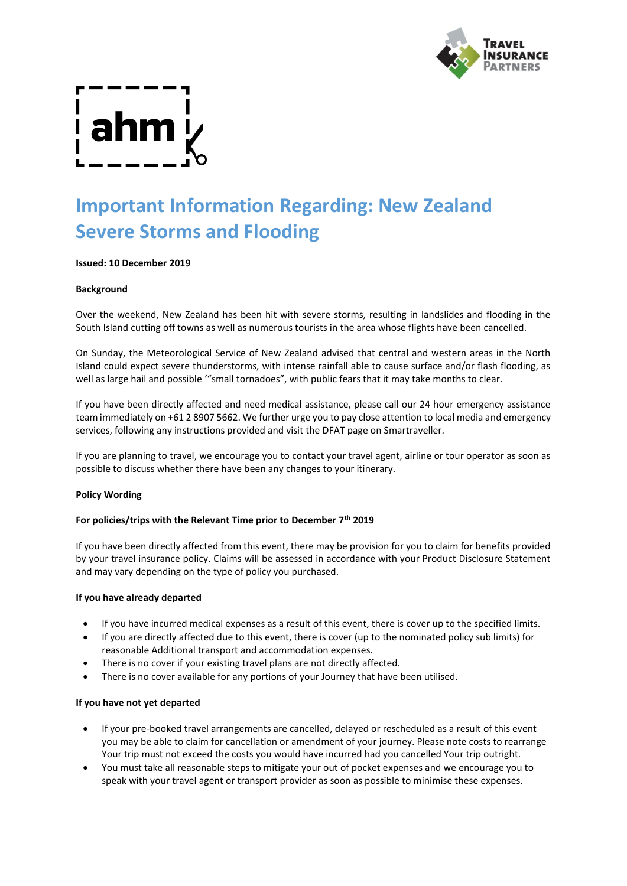

# **Important Information Regarding: New Zealand Severe Storms and Flooding**

# **Issued: 10 December 2019**

# **Background**

Over the weekend, New Zealand has been hit with severe storms, resulting in landslides and flooding in the South Island cutting off towns as well as numerous tourists in the area whose flights have been cancelled.

On Sunday, the Meteorological Service of New Zealand advised that central and western areas in the North Island could expect severe thunderstorms, with intense rainfall able to cause surface and/or flash flooding, as well as large hail and possible '"small tornadoes", with public fears that it may take months to clear.

If you have been directly affected and need medical assistance, please call our 24 hour emergency assistance team immediately on +61 2 8907 5662. We further urge you to pay close attention to local media and emergency services, following any instructions provided and visit the DFAT page on Smartraveller.

If you are planning to travel, we encourage you to contact your travel agent, airline or tour operator as soon as possible to discuss whether there have been any changes to your itinerary.

# **Policy Wording**

# **For policies/trips with the Relevant Time prior to December 7th 2019**

If you have been directly affected from this event, there may be provision for you to claim for benefits provided by your travel insurance policy. Claims will be assessed in accordance with your Product Disclosure Statement and may vary depending on the type of policy you purchased.

# **If you have already departed**

- If you have incurred medical expenses as a result of this event, there is cover up to the specified limits.
- If you are directly affected due to this event, there is cover (up to the nominated policy sub limits) for reasonable Additional transport and accommodation expenses.
- There is no cover if your existing travel plans are not directly affected.
- There is no cover available for any portions of your Journey that have been utilised.

# **If you have not yet departed**

- If your pre-booked travel arrangements are cancelled, delayed or rescheduled as a result of this event you may be able to claim for cancellation or amendment of your journey. Please note costs to rearrange Your trip must not exceed the costs you would have incurred had you cancelled Your trip outright.
- You must take all reasonable steps to mitigate your out of pocket expenses and we encourage you to speak with your travel agent or transport provider as soon as possible to minimise these expenses.